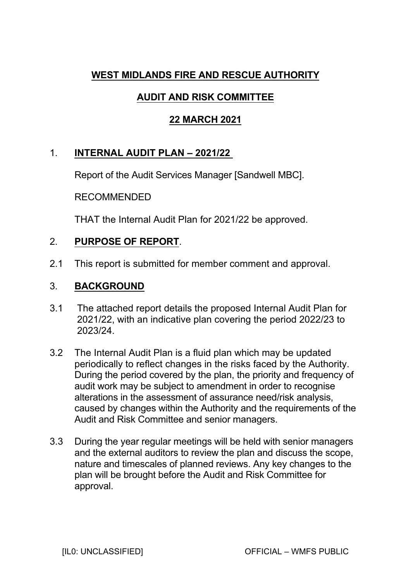# **WEST MIDLANDS FIRE AND RESCUE AUTHORITY**

# **AUDIT AND RISK COMMITTEE**

## **22 MARCH 2021**

## 1. **INTERNAL AUDIT PLAN – 2021/22**

Report of the Audit Services Manager [Sandwell MBC].

## RECOMMENDED

THAT the Internal Audit Plan for 2021/22 be approved.

## 2. **PURPOSE OF REPORT**.

2.1 This report is submitted for member comment and approval.

## 3. **BACKGROUND**

- 3.1 The attached report details the proposed Internal Audit Plan for 2021/22, with an indicative plan covering the period 2022/23 to 2023/24.
- 3.2 The Internal Audit Plan is a fluid plan which may be updated periodically to reflect changes in the risks faced by the Authority. During the period covered by the plan, the priority and frequency of audit work may be subject to amendment in order to recognise alterations in the assessment of assurance need/risk analysis, caused by changes within the Authority and the requirements of the Audit and Risk Committee and senior managers.
- 3.3 During the year regular meetings will be held with senior managers and the external auditors to review the plan and discuss the scope, nature and timescales of planned reviews. Any key changes to the plan will be brought before the Audit and Risk Committee for approval.